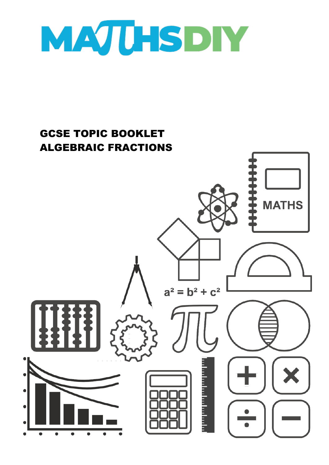

## GCSE TOPIC BOOKLET ALGEBRAIC FRACTIONS**MATHS**  $a^2 = b^2 + c^2$ a bandar bandar b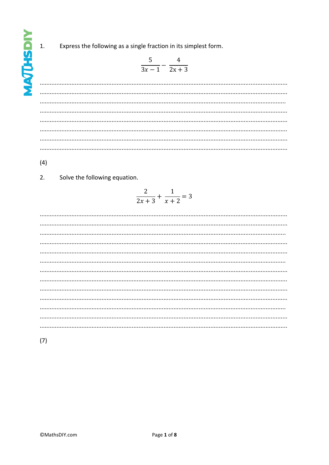**VIATLISDIV** 

 $\overline{1}$ .

Express the following as a single fraction in its simplest form.

$$
\frac{5}{3x-1} - \frac{4}{2x+3}
$$

. . . . . . . . .  $\cdots$  $\cdots$  $\ldots$  $\cdots$ 

 $(4)$ 

 $2.$ Solve the following equation.

$$
\frac{2}{2x+3} + \frac{1}{x+2} = 3
$$

 $\ddotsc$  $\cdots$ 

 $(7)$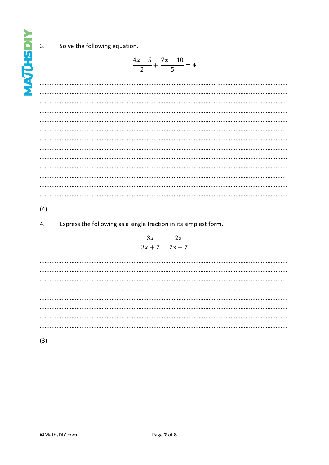**AATLHSDIN**  $\overline{3}$ .

Solve the following equation.

$$
\frac{4x-5}{2} + \frac{7x-10}{5} = 4
$$

 $(4)$ 

 $\overline{4}$ . Express the following as a single fraction in its simplest form.

$$
\frac{3x}{3x+2} - \frac{2x}{2x+7}
$$

 $(3)$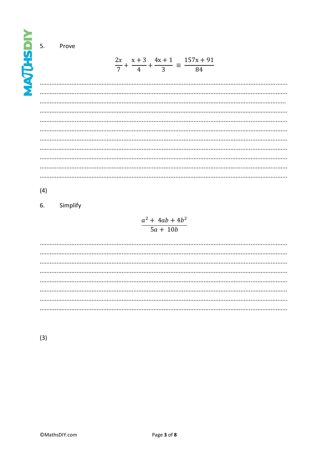**MAJUHSDIN** 

 $5.$ 

## Prove

$$
\frac{2x}{7} + \frac{x+3}{4} + \frac{4x+1}{3} \equiv \frac{157x+91}{84}
$$

 $(4)$ 

6. Simplify

 $\frac{a^2+4ab+4b^2}{5a+10b}$ 

 $(3)$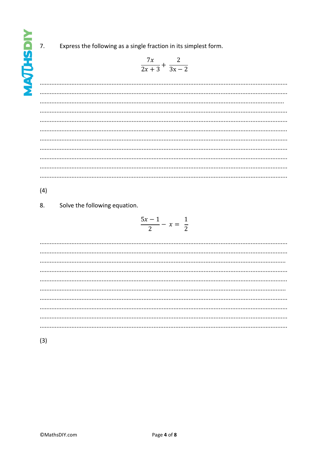**AATHSDN** 

 $\overline{7}$ .

Express the following as a single fraction in its simplest form.

$$
\frac{7x}{2x+3} + \frac{2}{3x-2}
$$

..........  $\ddotsc$  $\cdots$ 

 $(4)$ 

## 8. Solve the following equation.

$$
\frac{5x-1}{2}-x=\frac{1}{2}
$$

 $\ddotsc$ 

 $(3)$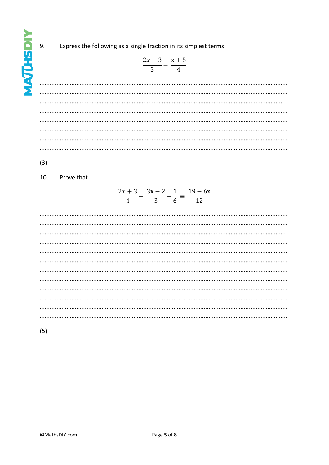**AATHSDN** 

9.

Express the following as a single fraction in its simplest terms.

$$
\frac{2x-3}{3} - \frac{x+5}{4}
$$

 $(3)$ 

10. Prove that

$$
\frac{2x+3}{4} - \frac{3x-2}{3} + \frac{1}{6} \equiv \frac{19-6x}{12}
$$

 $(5)$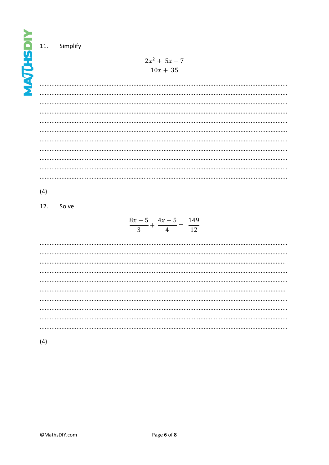**IGSFUDW** 

11. Simplify

 $\frac{2x^2 + 5x - 7}{10x + 35}$ 

 $(4)$ 

12. Solve

$$
\frac{8x-5}{3} + \frac{4x+5}{4} = \frac{149}{12}
$$

 $(4)$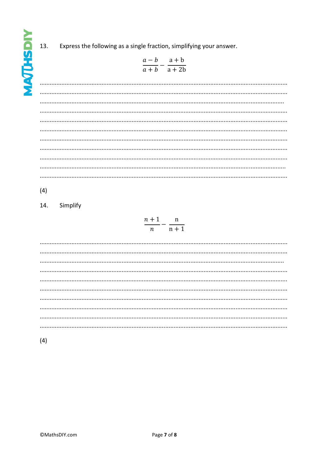**VIATLHSDIN** 

Express the following as a single fraction, simplifying your answer. 13.

$$
\frac{a-b}{a+b} - \frac{a+b}{a+2b}
$$

.........  $\ddotsc$  $\dddotsc$  $\cdots$ 

 $(4)$ 

14. Simplify

$$
\frac{n+1}{n} - \frac{n}{n+1}
$$

 $\ddotsc$  $\ddotsc$  $\cdots$ 

 $(4)$